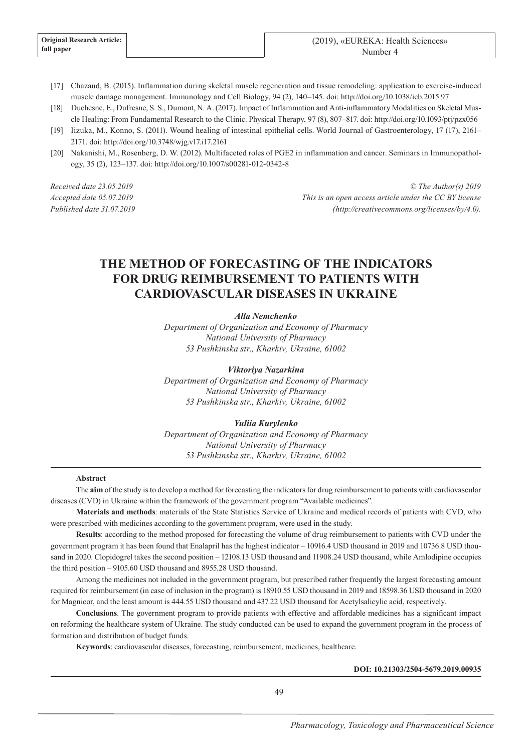- [17] Chazaud, B. (2015). Inflammation during skeletal muscle regeneration and tissue remodeling: application to exercise-induced muscle damage management. Immunology and Cell Biology, 94 (2), 140–145. doi: http://doi.org/10.1038/icb.2015.97
- [18] Duchesne, E., Dufresne, S. S., Dumont, N. A. (2017). Impact of Inflammation and Anti-inflammatory Modalities on Skeletal Muscle Healing: From Fundamental Research to the Clinic. Physical Therapy, 97 (8), 807–817. doi: http://doi.org/10.1093/ptj/pzx056
- [19] Iizuka, M., Konno, S. (2011). Wound healing of intestinal epithelial cells. World Journal of Gastroenterology, 17 (17), 2161– 2171. doi: http://doi.org/10.3748/wjg.v17.i17.2161
- [20] Nakanishi, M., Rosenberg, D. W. (2012). Multifaceted roles of PGE2 in inflammation and cancer. Seminars in Immunopathology, 35 (2), 123–137. doi: http://doi.org/10.1007/s00281-012-0342-8

*Received date 23.05.2019 Accepted date 05.07.2019 Published date 31.07.2019*

*© The Author(s) 2019 This is an open access article under the CC BY license (http://creativecommons.org/licenses/by/4.0).*

# **THE METHOD OF FORECASTING OF THE INDICATORS FOR DRUG REIMBURSEMENT TO PATIENTS WITH CARDIOVASCULAR DISEASES IN UKRAINE**

*Alla Nemchenko*

*Department of Organization and Economy of Pharmacy National University of Pharmacy 53 Pushkinska str., Kharkiv, Ukraine, 61002*

*Viktoriya Nazarkina*

*Department of Organization and Economy of Pharmacy National University of Pharmacy 53 Pushkinska str., Kharkiv, Ukraine, 61002*

#### *Yuliia Kurylenko*

*Department of Organization and Economy of Pharmacy National University of Pharmacy 53 Pushkinska str., Kharkiv, Ukraine, 61002*

#### **Abstract**

The **aim** of the study is to develop a method for forecasting the indicators for drug reimbursement to patients with cardiovascular diseases (CVD) in Ukraine within the framework of the government program "Available medicines".

**Materials and methods**: materials of the State Statistics Service of Ukraine and medical records of patients with CVD, who were prescribed with medicines according to the government program, were used in the study.

**Results**: according to the method proposed for forecasting the volume of drug reimbursement to patients with CVD under the government program it has been found that Enalapril has the highest indicator – 10916.4 USD thousand in 2019 and 10736.8 USD thousand in 2020. Clopidogrel takes the second position – 12108.13 USD thousand and 11908.24 USD thousand, while Amlodipine occupies the third position – 9105.60 USD thousand and 8955.28 USD thousand.

Among the medicines not included in the government program, but prescribed rather frequently the largest forecasting amount required for reimbursement (in case of inclusion in the program) is 18910.55 USD thousand in 2019 and 18598.36 USD thousand in 2020 for Magnicor, and the least amount is 444.55 USD thousand and 437.22 USD thousand for Acetylsalicylic acid, respectively.

**Conclusions**. The government program to provide patients with effective and affordable medicines has a significant impact on reforming the healthcare system of Ukraine. The study conducted can be used to expand the government program in the process of formation and distribution of budget funds.

**Keywords**: cardiovascular diseases, forecasting, reimbursement, medicines, healthcare.

## **DOI: 10.21303/2504-5679.2019.00935**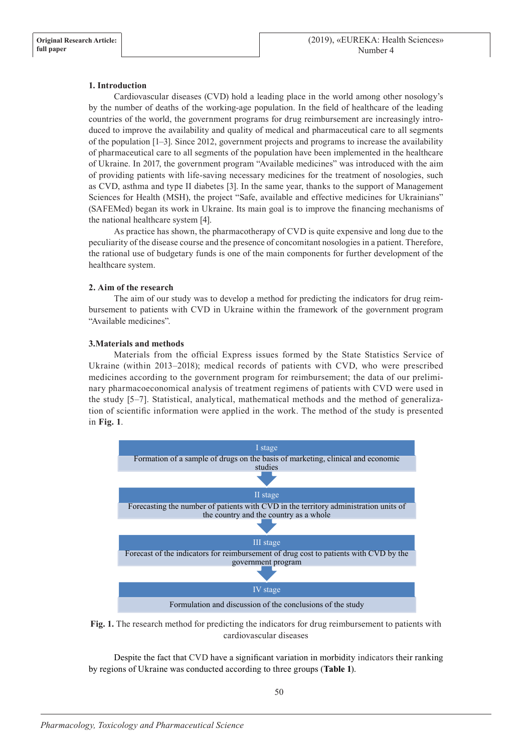# **1. Introduction**

Cardiovascular diseases (CVD) hold a leading place in the world among other nosology's by the number of deaths of the working-age population. In the field of healthcare of the leading countries of the world, the government programs for drug reimbursement are increasingly introduced to improve the availability and quality of medical and pharmaceutical care to all segments of the population [1–3]. Since 2012, government projects and programs to increase the availability of pharmaceutical care to all segments of the population have been implemented in the healthcare of Ukraine. In 2017, the government program "Available medicines" was introduced with the aim of providing patients with life-saving necessary medicines for the treatment of nosologies, such as CVD, asthma and type II diabetes [3]. In the same year, thanks to the support of Management Sciences for Health (MSH), the project "Safe, available and effective medicines for Ukrainians" (SAFEMed) began its work in Ukraine. Its main goal is to improve the financing mechanisms of the national healthcare system [4].

As practice has shown, the pharmacotherapy of CVD is quite expensive and long due to the peculiarity of the disease course and the presence of concomitant nosologies in a patient. Therefore, the rational use of budgetary funds is one of the main components for further development of the healthcare system.

# **2. Aim of the research**

The aim of our study was to develop a method for predicting the indicators for drug reimbursement to patients with CVD in Ukraine within the framework of the government program "Available medicines".

# **3.Materials and methods**

Materials from the official Express issues formed by the State Statistics Service of Ukraine (within 2013–2018); medical records of patients with CVD, who were prescribed medicines according to the government program for reimbursement; the data of our preliminary pharmacoeconomical analysis of treatment regimens of patients with CVD were used in the study [5–7]. Statistical, analytical, mathematical methods and the method of generalization of scientific information were applied in the work. The method of the study is presented in **Fig. 1**.





Despite the fact that CVD have a significant variation in morbidity indicators their ranking by regions of Ukraine was conducted according to three groups (**Table 1**).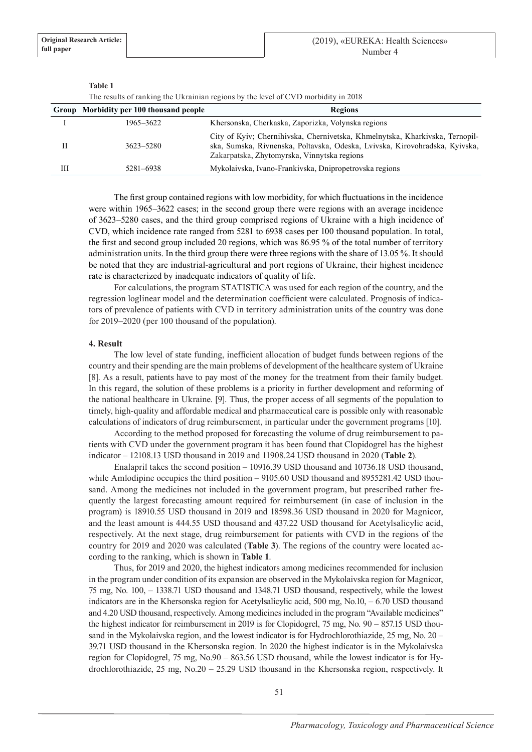|   |                                         | The results of railwing the Okramman regions by the level of $C$ vD morbigity in 2018                                                                                                                      |
|---|-----------------------------------------|------------------------------------------------------------------------------------------------------------------------------------------------------------------------------------------------------------|
|   | Group Morbidity per 100 thousand people | <b>Regions</b>                                                                                                                                                                                             |
|   | 1965–3622                               | Khersonska, Cherkaska, Zaporizka, Volynska regions                                                                                                                                                         |
| Н | 3623-5280                               | City of Kyiv; Chernihivska, Chernivetska, Khmelnytska, Kharkivska, Ternopil-<br>ska, Sumska, Rivnenska, Poltavska, Odeska, Lvivska, Kirovohradska, Kyivska,<br>Zakarpatska, Zhytomyrska, Vinnytska regions |
| Ш | 5281-6938                               | Mykolaivska, Ivano-Frankivska, Dnipropetrovska regions                                                                                                                                                     |
|   |                                         |                                                                                                                                                                                                            |

**Table 1**

 $\frac{1}{10}$  results of Illending the regions by the level of CVD morbidity in 2018

The first group contained regions with low morbidity, for which fluctuations in the incidence were within 1965–3622 cases; in the second group there were regions with an average incidence of 3623–5280 cases, and the third group comprised regions of Ukraine with a high incidence of CVD, which incidence rate ranged from 5281 to 6938 cases per 100 thousand population. In total, the first and second group included 20 regions, which was 86.95 % of the total number of territory administration units. In the third group there were three regions with the share of 13.05 %. It should be noted that they are industrial-agricultural and port regions of Ukraine, their highest incidence rate is characterized by inadequate indicators of quality of life.

For calculations, the program STATISTICA was used for each region of the country, and the regression loglinear model and the determination coefficient were calculated. Prognosis of indicators of prevalence of patients with CVD in territory administration units of the country was done for 2019–2020 (per 100 thousand of the population).

## **4. Result**

The low level of state funding, inefficient allocation of budget funds between regions of the country and their spending are the main problems of development of the healthcare system of Ukraine [8]. As a result, patients have to pay most of the money for the treatment from their family budget. In this regard, the solution of these problems is a priority in further development and reforming of the national healthcare in Ukraine. [9]. Thus, the proper access of all segments of the population to timely, high-quality and affordable medical and pharmaceutical care is possible only with reasonable calculations of indicators of drug reimbursement, in particular under the government programs [10].

According to the method proposed for forecasting the volume of drug reimbursement to patients with CVD under the government program it has been found that Сlopidogrel has the highest indicator – 12108.13 USD thousand in 2019 and 11908.24 USD thousand in 2020 (**Table 2**).

Enalapril takes the second position – 10916.39 USD thousand and 10736.18 USD thousand, while Amlodipine occupies the third position – 9105.60 USD thousand and 8955281.42 USD thousand. Among the medicines not included in the government program, but prescribed rather frequently the largest forecasting amount required for reimbursement (in case of inclusion in the program) is 18910.55 USD thousand in 2019 and 18598.36 USD thousand in 2020 for Magnicor, and the least amount is 444.55 USD thousand and 437.22 USD thousand for Acetylsalicylic acid, respectively. At the next stage, drug reimbursement for patients with CVD in the regions of the country for 2019 and 2020 was calculated (**Table 3**). The regions of the country were located according to the ranking, which is shown in **Table 1**.

Thus, for 2019 and 2020, the highest indicators among medicines recommended for inclusion in the program under condition of its expansion are observed in the Mykolaivska region for Magnicor, 75 mg, No. 100, – 1338.71 USD thousand and 1348.71 USD thousand, respectively, while the lowest indicators are in the Khersonska region for Acetylsalicylic acid, 500 mg, No.10, – 6.70 USD thousand and 4.20 USD thousand, respectively. Among medicines included in the program "Available medicines" the highest indicator for reimbursement in 2019 is for Clopidogrel, 75 mg, No. 90 – 857.15 USD thousand in the Mykolaivska region, and the lowest indicator is for Hydrochlorothiazide, 25 mg, No. 20 – 39.71 USD thousand in the Khersonska region. In 2020 the highest indicator is in the Mykolaivska region for Clopidogrel, 75 mg, No.90 – 863.56 USD thousand, while the lowest indicator is for Hydrochlorothiazide, 25 mg, No.20 – 25.29 USD thousand in the Khersonska region, respectively. It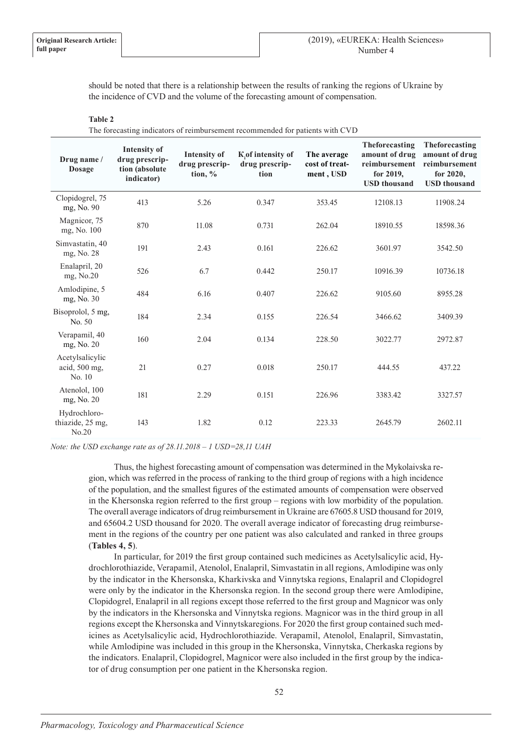should be noted that there is a relationship between the results of ranking the regions of Ukraine by the incidence of CVD and the volume of the forecasting amount of compensation.

#### **Table 2**

The forecasting indicators of reimbursement recommended for patients with CVD

| Drug name /<br><b>Dosage</b>               | Intensity of<br>drug prescrip-<br>tion (absolute<br>indicator) | <b>Intensity of</b><br>drug prescrip-<br>tion, $\%$ | K, of intensity of<br>drug prescrip-<br>tion | The average<br>cost of treat-<br>ment, USD | Theforecasting<br>amount of drug<br>reimbursement<br>for 2019,<br><b>USD</b> thousand | Theforecasting<br>amount of drug<br>reimbursement<br>for 2020,<br><b>USD</b> thousand |
|--------------------------------------------|----------------------------------------------------------------|-----------------------------------------------------|----------------------------------------------|--------------------------------------------|---------------------------------------------------------------------------------------|---------------------------------------------------------------------------------------|
| Clopidogrel, 75<br>mg, No. 90              | 413                                                            | 5.26                                                | 0.347                                        | 353.45                                     | 12108.13                                                                              | 11908.24                                                                              |
| Magnicor, 75<br>mg, No. 100                | 870                                                            | 11.08                                               | 0.731                                        | 262.04                                     | 18910.55                                                                              | 18598.36                                                                              |
| Simvastatin, 40<br>mg, No. 28              | 191                                                            | 2.43                                                | 0.161                                        | 226.62                                     | 3601.97                                                                               | 3542.50                                                                               |
| Enalapril, 20<br>mg, No.20                 | 526                                                            | 6.7                                                 | 0.442                                        | 250.17                                     | 10916.39                                                                              | 10736.18                                                                              |
| Amlodipine, 5<br>mg, No. 30                | 484                                                            | 6.16                                                | 0.407                                        | 226.62                                     | 9105.60                                                                               | 8955.28                                                                               |
| Bisoprolol, 5 mg,<br>No. 50                | 184                                                            | 2.34                                                | 0.155                                        | 226.54                                     | 3466.62                                                                               | 3409.39                                                                               |
| Verapamil, 40<br>mg, No. 20                | 160                                                            | 2.04                                                | 0.134                                        | 228.50                                     | 3022.77                                                                               | 2972.87                                                                               |
| Acetylsalicylic<br>acid, 500 mg,<br>No. 10 | 21                                                             | 0.27                                                | 0.018                                        | 250.17                                     | 444.55                                                                                | 437.22                                                                                |
| Atenolol, 100<br>mg, No. 20                | 181                                                            | 2.29                                                | 0.151                                        | 226.96                                     | 3383.42                                                                               | 3327.57                                                                               |
| Hydrochloro-<br>thiazide, 25 mg,<br>No.20  | 143                                                            | 1.82                                                | 0.12                                         | 223.33                                     | 2645.79                                                                               | 2602.11                                                                               |

*Note: the USD exchange rate as of 28.11.2018 – 1 USD=28,11 UAH* 

Thus, the highest forecasting amount of compensation was determined in the Mykolaivska region, which was referred in the process of ranking to the third group of regions with a high incidence of the population, and the smallest figures of the estimated amounts of compensation were observed in the Khersonska region referred to the first group – regions with low morbidity of the population. The overall average indicators of drug reimbursement in Ukraine are 67605.8 USD thousand for 2019, and 65604.2 USD thousand for 2020. The overall average indicator of forecasting drug reimbursement in the regions of the country per one patient was also calculated and ranked in three groups (**Tables 4, 5**).

In particular, for 2019 the first group contained such medicines as Acetylsalicylic acid, Hydrochlorothiazide, Verapamil, Atenolol, Enalapril, Simvastatin in all regions, Amlodipine was only by the indicator in the Khersonska, Kharkivska and Vinnytska regions, Enalapril and Clopidogrel were only by the indicator in the Khersonska region. In the second group there were Amlodipine, Clopidogrel, Enalapril in all regions except those referred to the first group and Magnicor was only by the indicators in the Khersonska and Vinnytska regions. Magnicor was in the third group in all regions except the Khersonska and Vinnytskaregions. For 2020 the first group contained such medicines as Acetylsalicylic acid, Hydrochlorothiazide. Verapamil, Atenolol, Enalapril, Simvastatin, while Amlodipine was included in this group in the Khersonska, Vinnytska, Cherkaska regions by the indicators. Enalapril, Clopidogrel, Magnicor were also included in the first group by the indicator of drug consumption per one patient in the Khersonska region.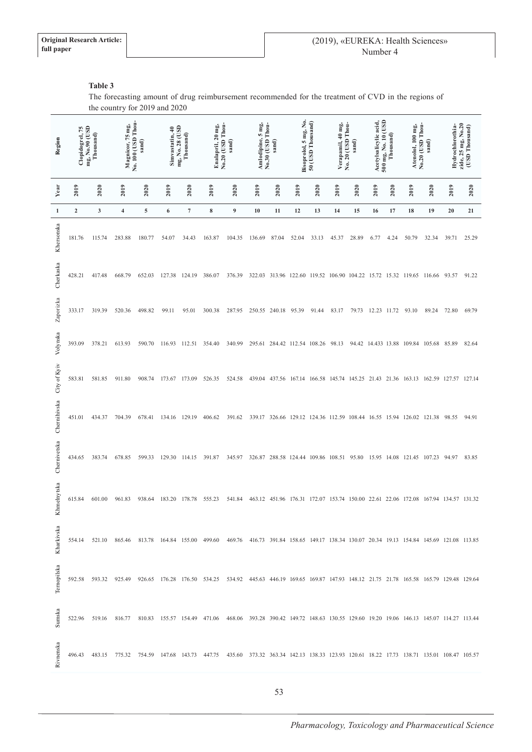# **Table 3**

The forecasting amount of drug reimbursement recommended for the treatment of CVD in the regions of the country for 2019 and 2020

| Region       | mg, No.90 (USD<br>Thousand)<br>Clopidogrel, 75 |        | No. 100 (USD Thou-<br>Magnicor, 75 mg,<br>sand)                                                                                           |            | mg, No. 28 (USD<br>Simvastatin, 40<br>Thousand) |                  | No.20 (USD Thou-<br>Enalapril, 20 mg,<br>sand) |        | No.30 (USD Thou-<br>Amlodipine, 5 mg,<br>sand) |                                                                                   | Bisoprolol, 5 mg, No.<br>50 (USD Thousand)     |       | No. 20 (USD Thou-<br>Verapamil, 40 mg,<br>sand) |       | 500 mg, No. 10 (USD<br>Acetylsalicylic acid.<br>Thousand) |             | No.20 (USD Thou-<br>Atenolol, 100 mg,<br>sand) |        | zide, 25 mg, No.20<br>Hydrochlorothia-<br>(USD Thousand) |       |
|--------------|------------------------------------------------|--------|-------------------------------------------------------------------------------------------------------------------------------------------|------------|-------------------------------------------------|------------------|------------------------------------------------|--------|------------------------------------------------|-----------------------------------------------------------------------------------|------------------------------------------------|-------|-------------------------------------------------|-------|-----------------------------------------------------------|-------------|------------------------------------------------|--------|----------------------------------------------------------|-------|
| Year         | 2019                                           | 2020   | 2019                                                                                                                                      | 2020       | 2019                                            | 2020             | 2019                                           | 2020   | 2019                                           | 2020                                                                              | 2019                                           | 2020  | 2019                                            | 2020  | 2019                                                      | 2020        | 2019                                           | 2020   | 2019                                                     | 2020  |
| 1            | $\boldsymbol{2}$                               | 3      | $\overline{\mathbf{4}}$                                                                                                                   | $\sqrt{5}$ | 6                                               | $\boldsymbol{7}$ | $\bf 8$                                        | 9      | 10                                             | 11                                                                                | 12                                             | 13    | 14                                              | 15    | 16                                                        | 17          | 18                                             | 19     | 20                                                       | 21    |
| Khersonska   | 181.76                                         | 115.74 | 283.88                                                                                                                                    | 180.77     | 54.07                                           | 34.43            | 163.87                                         | 104.35 | 136.69                                         | 87.04                                                                             | 52.04                                          | 33.13 | 45.37                                           | 28.89 | 6.77                                                      | 4.24        | 50.79                                          | 32.34  | 39.71                                                    | 25.29 |
| Cherkaska    | 428.21                                         | 417.48 | 668.79                                                                                                                                    | 652.03     | 127.38                                          | 124.19           | 386.07                                         | 376.39 |                                                | 322.03 313.96 122.60 119.52 106.90 104.22 15.72 15.32 119.65                      |                                                |       |                                                 |       |                                                           |             |                                                | 116.66 | 93.57                                                    | 91.22 |
| Zaporizka    | 333.17                                         | 319.39 | 520.36                                                                                                                                    | 498.82     | 99.11                                           | 95.01            | 300.38                                         | 287.95 |                                                | 250.55 240.18                                                                     | 95.39                                          | 91.44 | 83.17                                           | 79.73 |                                                           | 12.23 11.72 | 93.10                                          | 89.24  | 72.80                                                    | 69.79 |
| Volynska     | 393.09                                         | 378.21 | 613.93                                                                                                                                    | 590.70     | 116.93                                          | 112.51           | 354.40                                         | 340.99 |                                                | 295.61 284.42 112.54 108.26 98.13                                                 |                                                |       |                                                 |       |                                                           |             | 94.42 14.433 13.88 109.84 105.68               |        | 85.89                                                    | 82.64 |
| City of Kyiv | 583.81                                         | 581.85 | 911.80                                                                                                                                    | 908.74     | 173.67                                          | 173.09           | 526.35                                         | 524.58 | 439.04                                         | 437.56 167.14 166.58 145.74 145.25 21.43 21.36                                    |                                                |       |                                                 |       |                                                           |             | 163.13                                         | 162.59 | 127.57 127.14                                            |       |
| Chernihivska | 451.01                                         | 434.37 | 704.39                                                                                                                                    | 678.41     | 134.16                                          | 129.19           | 406.62                                         | 391.62 | 339.17                                         |                                                                                   | 326.66 129.12 124.36 112.59 108.44 16.55 15.94 |       |                                                 |       |                                                           |             | 126.02                                         | 121.38 | 98.55                                                    | 94.91 |
| Chernivetska | 434.65                                         | 383.74 | 678.85                                                                                                                                    | 599.33     | 129.30                                          | 114.15           | 391.87                                         | 345.97 |                                                | 326.87 288.58 124.44 109.86 108.51 95.80                                          |                                                |       |                                                 |       |                                                           | 15.95 14.08 | 121.45 107.23                                  |        | 94.97                                                    | 83.85 |
| Khmelnytska  | 615.84                                         | 601.00 | 961.83                                                                                                                                    | 938.64     | 183.20                                          | 178.78           | 555.23                                         | 541.84 |                                                | 463.12 451.96 176.31 172.07 153.74 150.00 22.61 22.06 172.08 167.94 134.57 131.32 |                                                |       |                                                 |       |                                                           |             |                                                |        |                                                          |       |
| Kharkivska   |                                                |        | 554.14 521.10 865.46 813.78 164.84 155.00 499.60 469.76 416.73 391.84 158.65 149.17 138.34 130.07 20.34 19.13 154.84 145.69 121.08 113.85 |            |                                                 |                  |                                                |        |                                                |                                                                                   |                                                |       |                                                 |       |                                                           |             |                                                |        |                                                          |       |
| Ternopilska  |                                                |        | 592.58 593.32 925.49 926.65 176.28 176.50 534.25 534.92 445.63 446.19 169.65 169.87 147.93 148.12 21.75 21.78 165.58 165.79 129.48 129.64 |            |                                                 |                  |                                                |        |                                                |                                                                                   |                                                |       |                                                 |       |                                                           |             |                                                |        |                                                          |       |
| Sumska       |                                                |        | 522.96 519.16 816.77 810.83 155.57 154.49 471.06 468.06 393.28 390.42 149.72 148.63 130.55 129.60 19.20 19.06 146.13 145.07 114.27 113.44 |            |                                                 |                  |                                                |        |                                                |                                                                                   |                                                |       |                                                 |       |                                                           |             |                                                |        |                                                          |       |
| Rivnenska    |                                                |        | 496.43 483.15 775.32 754.59 147.68 143.73 447.75 435.60 373.32 363.34 142.13 138.33 123.93 120.61 18.22 17.73 138.71 135.01 108.47 105.57 |            |                                                 |                  |                                                |        |                                                |                                                                                   |                                                |       |                                                 |       |                                                           |             |                                                |        |                                                          |       |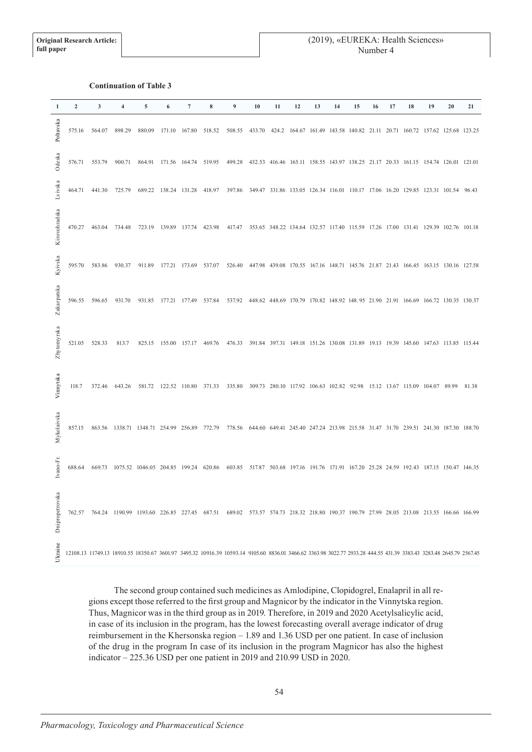## **Continuation of Table 3**

| $\mathbf{1}$    | $\overline{2}$ | 3      | 4      | 5                                                                                                                                                                   | 6 | $\overline{7}$       | 8 | 9                                                                                                                    | 10 | 11 | 12 | 13 | 14 | 15 | 16 | 17 | 18 | 19 | 20 | 21    |
|-----------------|----------------|--------|--------|---------------------------------------------------------------------------------------------------------------------------------------------------------------------|---|----------------------|---|----------------------------------------------------------------------------------------------------------------------|----|----|----|----|----|----|----|----|----|----|----|-------|
| Poltavska       | 575.16         | 564.07 | 898.29 |                                                                                                                                                                     |   |                      |   | 880.09 171.10 167.80 518.52 508.55 433.70 424.2 164.67 161.49 143.58 140.82 21.11 20.71 160.72 157.62 125.68 123.25  |    |    |    |    |    |    |    |    |    |    |    |       |
| Odeska          | 576.71         | 553.79 | 900.71 | 864.91 171.56 164.74 519.95                                                                                                                                         |   |                      |   | 499.28 432.53 416.46 165.11 158.55 143.97 138.25 21.17 20.33 161.15 154.74 126.01 121.01                             |    |    |    |    |    |    |    |    |    |    |    |       |
| Lvivska         | 464.71         | 441.30 | 725.79 | 689.22 138.24 131.28 418.97                                                                                                                                         |   |                      |   | 397.86 349.47 331.86 133.05 126.34 116.01 110.17 17.06 16.20 129.85 123.31 101.54 96.43                              |    |    |    |    |    |    |    |    |    |    |    |       |
| Kirovohradska   | 470.27         | 463.04 | 734.48 | 723.19                                                                                                                                                              |   | 139.89 137.74 423.98 |   | 417.47 353.65 348.22 134.64 132.57 117.40 115.59 17.26 17.00 131.41 129.39 102.76 101.18                             |    |    |    |    |    |    |    |    |    |    |    |       |
| Kyivska         | 595.70         | 583.86 | 930.37 | 911.89                                                                                                                                                              |   |                      |   | 177.21 173.69 537.07 526.40 447.98 439.08 170.55 167.16 148.71 145.76 21.87 21.43 166.45 163.15 130.16 127.58        |    |    |    |    |    |    |    |    |    |    |    |       |
| Zakarpatska     | 596.55         | 596.65 | 931.70 | 931.85 177.21 177.49 537.84                                                                                                                                         |   |                      |   | 537.92 448.62 448.69 170.79 170.82 148.92 148.95 21.90 21.91 166.69 166.72 130.35 130.37                             |    |    |    |    |    |    |    |    |    |    |    |       |
| Zhytomyrska     | 521.05         | 528.33 | 813.7  |                                                                                                                                                                     |   |                      |   | 825.15 155.00 157.17 469.76 476.33 391.84 397.31 149.18 151.26 130.08 131.89 19.13 19.39 145.60 147.63 113.85 115.44 |    |    |    |    |    |    |    |    |    |    |    |       |
| Vinnytska       | 118.7          | 372.46 | 643.26 |                                                                                                                                                                     |   |                      |   | 581.72 122.52 110.80 371.33 335.80 309.73 280.10 117.92 106.63 102.82 92.98 15.12 13.67 115.09 104.07 89.99          |    |    |    |    |    |    |    |    |    |    |    | 81.38 |
| Mykolaivska     | 857.15         |        |        | 863.56 1338.71 1348.71 254.99 256.89 772.79 778.56 644.60 649.41 245.40 247.24 213.98 215.58 31.47 31.70 239.51 241.30 187.30 188.70                                |   |                      |   |                                                                                                                      |    |    |    |    |    |    |    |    |    |    |    |       |
| Ivano-Fr        | 688.64         |        |        | 669.73 1075.52 1046.05 204.85 199.24 620.86 603.85 517.87 503.68 197.16 191.76 171.91 167.20 25.28 24.59 192.43 187.15 150.47 146.35                                |   |                      |   |                                                                                                                      |    |    |    |    |    |    |    |    |    |    |    |       |
| Dnipropetrovska | 762.57         |        |        | 764.24 1190.99 1193.60 226.85 227.45 687.51 689.02 573.57 574.73 218.32 218.80 190.37 190.79 27.99 28.05 213.08 213.55 166.66 166.99                                |   |                      |   |                                                                                                                      |    |    |    |    |    |    |    |    |    |    |    |       |
| Ukraine         |                |        |        | 12108.13 11749.13 18910.55 18350.67 3601.97 3495.32 10916.39 10593.14 9105.60 8836.01 3466.62 3363.98 3022.77 2933.28 444.55 431.39 3383.43 3283.48 2645.79 2567.45 |   |                      |   |                                                                                                                      |    |    |    |    |    |    |    |    |    |    |    |       |

The second group contained such medicines as Amlodipine, Clopidogrel, Enalapril in all regions except those referred to the first group and Magnicor by the indicator in the Vinnytska region. Thus, Magnicor was in the third group as in 2019. Therefore, in 2019 and 2020 Acetylsalicylic acid, in case of its inclusion in the program, has the lowest forecasting overall average indicator of drug reimbursement in the Khersonska region – 1.89 and 1.36 USD per one patient. In case of inclusion of the drug in the program In case of its inclusion in the program Magnicor has also the highest indicator – 225.36 USD per one patient in 2019 and 210.99 USD in 2020.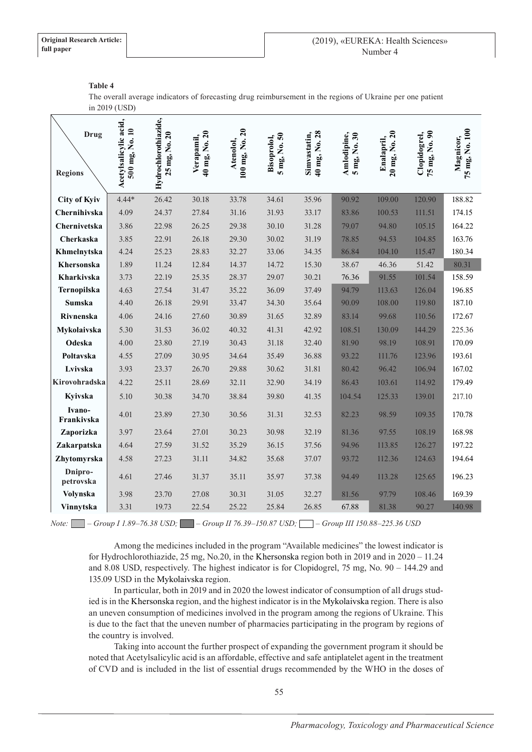## **Table 4**

The overall average indicators of forecasting drug reimbursement in the regions of Ukraine per one patient in 2019 (USD)

| <b>Drug</b><br><b>Regions</b> | Acetylsalicylic acid,<br>500 mg, No. 10 | Hydrochlorothiazide,<br>25 mg, No. 20 | 40 mg, No. 20<br>Verapamil, | 100 mg, No. 20<br>Atenolol, | 5 mg, No. 50<br>Bisoprolol, | 40 mg, No. 28<br>Simvastatin, | Amlodipine,<br>5 mg, No. 30 | 20 mg, No. 20<br>Enalapril, | 75 mg, No. 90<br>Clopidogrel, | 75 mg, No. 100<br>Magnicor, |
|-------------------------------|-----------------------------------------|---------------------------------------|-----------------------------|-----------------------------|-----------------------------|-------------------------------|-----------------------------|-----------------------------|-------------------------------|-----------------------------|
| <b>City of Kyiv</b>           | $4.44*$                                 | 26.42                                 | 30.18                       | 33.78                       | 34.61                       | 35.96                         | 90.92                       | 109.00                      | 120.90                        | 188.82                      |
| Chernihivska                  | 4.09                                    | 24.37                                 | 27.84                       | 31.16                       | 31.93                       | 33.17                         | 83.86                       | 100.53                      | 111.51                        | 174.15                      |
| Chernivetska                  | 3.86                                    | 22.98                                 | 26.25                       | 29.38                       | 30.10                       | 31.28                         | 79.07                       | 94.80                       | 105.15                        | 164.22                      |
| Cherkaska                     | 3.85                                    | 22.91                                 | 26.18                       | 29.30                       | 30.02                       | 31.19                         | 78.85                       | 94.53                       | 104.85                        | 163.76                      |
| Khmelnytska                   | 4.24                                    | 25.23                                 | 28.83                       | 32.27                       | 33.06                       | 34.35                         | 86.84                       | 104.10                      | 115.47                        | 180.34                      |
| Khersonska                    | 1.89                                    | 11.24                                 | 12.84                       | 14.37                       | 14.72                       | 15.30                         | 38.67                       | 46.36                       | 51.42                         | 80.31                       |
| Kharkivska                    | 3.73                                    | 22.19                                 | 25.35                       | 28.37                       | 29.07                       | 30.21                         | 76.36                       | 91.55                       | 101.54                        | 158.59                      |
| Ternopilska                   | 4.63                                    | 27.54                                 | 31.47                       | 35.22                       | 36.09                       | 37.49                         | 94.79                       | 113.63                      | 126.04                        | 196.85                      |
| Sumska                        | 4.40                                    | 26.18                                 | 29.91                       | 33.47                       | 34.30                       | 35.64                         | 90.09                       | 108.00                      | 119.80                        | 187.10                      |
| Rivnenska                     | 4.06                                    | 24.16                                 | 27.60                       | 30.89                       | 31.65                       | 32.89                         | 83.14                       | 99.68                       | 110.56                        | 172.67                      |
| Mykolaivska                   | 5.30                                    | 31.53                                 | 36.02                       | 40.32                       | 41.31                       | 42.92                         | 108.51                      | 130.09                      | 144.29                        | 225.36                      |
| Odeska                        | 4.00                                    | 23.80                                 | 27.19                       | 30.43                       | 31.18                       | 32.40                         | 81.90                       | 98.19                       | 108.91                        | 170.09                      |
| Poltavska                     | 4.55                                    | 27.09                                 | 30.95                       | 34.64                       | 35.49                       | 36.88                         | 93.22                       | 111.76                      | 123.96                        | 193.61                      |
| Lvivska                       | 3.93                                    | 23.37                                 | 26.70                       | 29.88                       | 30.62                       | 31.81                         | 80.42                       | 96.42                       | 106.94                        | 167.02                      |
| Kirovohradska                 | 4.22                                    | 25.11                                 | 28.69                       | 32.11                       | 32.90                       | 34.19                         | 86.43                       | 103.61                      | 114.92                        | 179.49                      |
| Kyivska                       | 5.10                                    | 30.38                                 | 34.70                       | 38.84                       | 39.80                       | 41.35                         | 104.54                      | 125.33                      | 139.01                        | 217.10                      |
| Ivano-<br>Frankivska          | 4.01                                    | 23.89                                 | 27.30                       | 30.56                       | 31.31                       | 32.53                         | 82.23                       | 98.59                       | 109.35                        | 170.78                      |
| Zaporizka                     | 3.97                                    | 23.64                                 | 27.01                       | 30.23                       | 30.98                       | 32.19                         | 81.36                       | 97.55                       | 108.19                        | 168.98                      |
| Zakarpatska                   | 4.64                                    | 27.59                                 | 31.52                       | 35.29                       | 36.15                       | 37.56                         | 94.96                       | 113.85                      | 126.27                        | 197.22                      |
| Zhytomyrska                   | 4.58                                    | 27.23                                 | 31.11                       | 34.82                       | 35.68                       | 37.07                         | 93.72                       | 112.36                      | 124.63                        | 194.64                      |
| Dnipro-<br>petrovska          | 4.61                                    | 27.46                                 | 31.37                       | 35.11                       | 35.97                       | 37.38                         | 94.49                       | 113.28                      | 125.65                        | 196.23                      |
| Volynska                      | 3.98                                    | 23.70                                 | 27.08                       | 30.31                       | 31.05                       | 32.27                         | 81.56                       | 97.79                       | 108.46                        | 169.39                      |
| Vinnytska                     | 3.31                                    | 19.73                                 | 22.54                       | 25.22                       | 25.84                       | 26.85                         | 67.88                       | 81.38                       | 90.27                         | 140.98                      |

*Note: – Group І 1.89–76.38 USD; – Group ІІ 76.39–150.87 USD; – Group ІІІ 150.88–225.36 USD*

Among the medicines included in the program "Available medicines" the lowest indicator is for Hydrochlorothiazide, 25 mg, No.20, in the Khersonska region both in 2019 and in 2020 – 11.24 and 8.08 USD, respectively. The highest indicator is for Clopidogrel, 75 mg, No. 90 – 144.29 and 135.09 USD in the Mykolaivska region.

In particular, both in 2019 and in 2020 the lowest indicator of consumption of all drugs studied is in the Khersonska region, and the highest indicator is in the Mykolaivska region. There is also an uneven consumption of medicines involved in the program among the regions of Ukraine. This is due to the fact that the uneven number of pharmacies participating in the program by regions of the country is involved.

Taking into account the further prospect of expanding the government program it should be noted that Acetylsalicylic acid is an affordable, effective and safe antiplatelet agent in the treatment of CVD and is included in the list of essential drugs recommended by the WHO in the doses of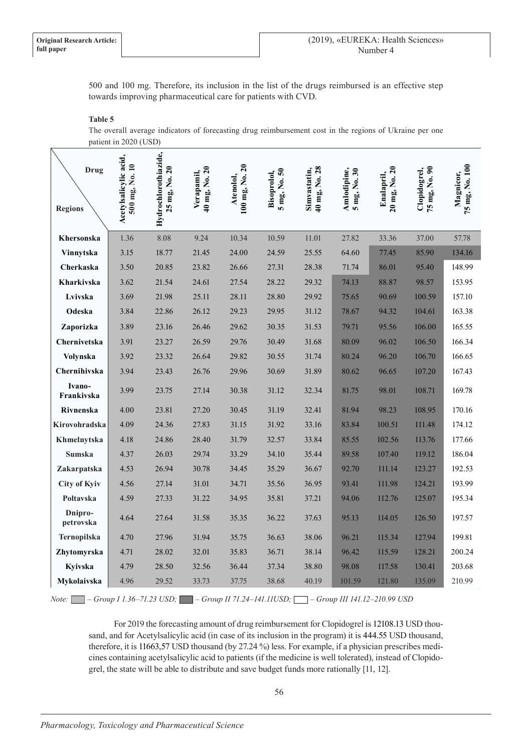500 and 100 mg. Therefore, its inclusion in the list of the drugs reimbursed is an effective step towards improving pharmaceutical care for patients with CVD.

## **Table 5**

The overall average indicators of forecasting drug reimbursement cost in the regions of Ukraine per one patient in 2020 (USD)

| <b>Drug</b><br><b>Regions</b> | Acetylsalicylic acid,<br>500 mg, No. 10 | Hydrochlorothiazide,<br>25 mg, No. 20 | 40 mg, No. 20<br>Verapamil, | 100 mg, No. 20<br>Atenolol, | $5 \text{ mg}$ , No. $50$<br>Bisoprolol, | 40 mg, No. 28<br>Simvastatin, | Amlodipine,<br>$5$ mg, No. $30$ | 20 mg, No. 20<br>Enalapril, | 75 mg, No. 90<br>Clopidogrel, | 75 mg, No. 100<br>Magnicor, |
|-------------------------------|-----------------------------------------|---------------------------------------|-----------------------------|-----------------------------|------------------------------------------|-------------------------------|---------------------------------|-----------------------------|-------------------------------|-----------------------------|
| Khersonska                    | 1.36                                    | 8.08                                  | 9.24                        | 10.34                       | 10.59                                    | 11.01                         | 27.82                           | 33.36                       | 37.00                         | 57.78                       |
| Vinnytska                     | 3.15                                    | 18.77                                 | 21.45                       | 24.00                       | 24.59                                    | 25.55                         | 64.60                           | 77.45                       | 85.90                         | 134.16                      |
| Cherkaska                     | 3.50                                    | 20.85                                 | 23.82                       | 26.66                       | 27.31                                    | 28.38                         | 71.74                           | 86.01                       | 95.40                         | 148.99                      |
| Kharkivska                    | 3.62                                    | 21.54                                 | 24.61                       | 27.54                       | 28.22                                    | 29.32                         | 74.13                           | 88.87                       | 98.57                         | 153.95                      |
| Lvivska                       | 3.69                                    | 21.98                                 | 25.11                       | 28.11                       | 28.80                                    | 29.92                         | 75.65                           | 90.69                       | 100.59                        | 157.10                      |
| Odeska                        | 3.84                                    | 22.86                                 | 26.12                       | 29.23                       | 29.95                                    | 31.12                         | 78.67                           | 94.32                       | 104.61                        | 163.38                      |
| Zaporizka                     | 3.89                                    | 23.16                                 | 26.46                       | 29.62                       | 30.35                                    | 31.53                         | 79.71                           | 95.56                       | 106.00                        | 165.55                      |
| Chernivetska                  | 3.91                                    | 23.27                                 | 26.59                       | 29.76                       | 30.49                                    | 31.68                         | 80.09                           | 96.02                       | 106.50                        | 166.34                      |
| Volynska                      | 3.92                                    | 23.32                                 | 26.64                       | 29.82                       | 30.55                                    | 31.74                         | 80.24                           | 96.20                       | 106.70                        | 166.65                      |
| Chernihivska                  | 3.94                                    | 23.43                                 | 26.76                       | 29.96                       | 30.69                                    | 31.89                         | 80.62                           | 96.65                       | 107.20                        | 167.43                      |
| Ivano-<br>Frankivska          | 3.99                                    | 23.75                                 | 27.14                       | 30.38                       | 31.12                                    | 32.34                         | 81.75                           | 98.01                       | 108.71                        | 169.78                      |
| Rivnenska                     | 4.00                                    | 23.81                                 | 27.20                       | 30.45                       | 31.19                                    | 32.41                         | 81.94                           | 98.23                       | 108.95                        | 170.16                      |
| Kirovohradska                 | 4.09                                    | 24.36                                 | 27.83                       | 31.15                       | 31.92                                    | 33.16                         | 83.84                           | 100.51                      | 111.48                        | 174.12                      |
| Khmelnytska                   | 4.18                                    | 24.86                                 | 28.40                       | 31.79                       | 32.57                                    | 33.84                         | 85.55                           | 102.56                      | 113.76                        | 177.66                      |
| Sumska                        | 4.37                                    | 26.03                                 | 29.74                       | 33.29                       | 34.10                                    | 35.44                         | 89.58                           | 107.40                      | 119.12                        | 186.04                      |
| Zakarpatska                   | 4.53                                    | 26.94                                 | 30.78                       | 34.45                       | 35.29                                    | 36.67                         | 92.70                           | 111.14                      | 123.27                        | 192.53                      |
| <b>City of Kyiv</b>           | 4.56                                    | 27.14                                 | 31.01                       | 34.71                       | 35.56                                    | 36.95                         | 93.41                           | 111.98                      | 124.21                        | 193.99                      |
| Poltavska                     | 4.59                                    | 27.33                                 | 31.22                       | 34.95                       | 35.81                                    | 37.21                         | 94.06                           | 112.76                      | 125.07                        | 195.34                      |
| Dnipro-<br>petrovska          | 4.64                                    | 27.64                                 | 31.58                       | 35.35                       | 36.22                                    | 37.63                         | 95.13                           | 114.05                      | 126.50                        | 197.57                      |
| Ternopilska                   | 4.70                                    | 27.96                                 | 31.94                       | 35.75                       | 36.63                                    | 38.06                         | 96.21                           | 115.34                      | 127.94                        | 199.81                      |
| Zhytomyrska                   | 4.71                                    | 28.02                                 | 32.01                       | 35.83                       | 36.71                                    | 38.14                         | 96.42                           | 115.59                      | 128.21                        | 200.24                      |
| Kyivska                       | 4.79                                    | 28.50                                 | 32.56                       | 36.44                       | 37.34                                    | 38.80                         | 98.08                           | 117.58                      | 130.41                        | 203.68                      |
| Mykolaivska                   | 4.96                                    | 29.52                                 | 33.73                       | 37.75                       | 38.68                                    | 40.19                         | 101.59                          | 121.80                      | 135.09                        | 210.99                      |

*Note: – Group І 1.36–71.23 USD; – Group ІІ 71.24–141.11USD; – Group ІІІ 141.12–210.99 USD*

For 2019 the forecasting amount of drug reimbursement for Clopidogrel is 12108.13 USD thousand, and for Acetylsalicylic acid (in case of its inclusion in the program) it is 444.55 USD thousand, therefore, it is 11663,57 USD thousand (by 27.24 %) less. For example, if a physician prescribes medicines containing acetylsalicylic acid to patients (if the medicine is well tolerated), instead of Clopidogrel, the state will be able to distribute and save budget funds more rationally [11, 12].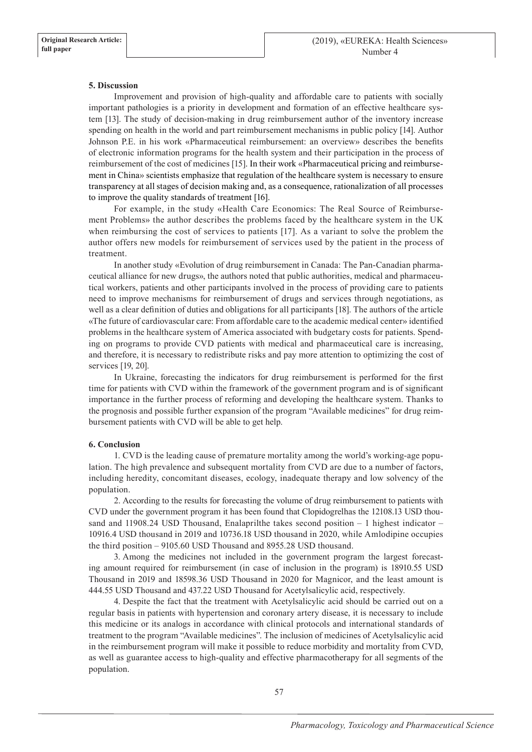## **5. Discussion**

Improvement and provision of high-quality and affordable care to patients with socially important pathologies is a priority in development and formation of an effective healthcare system [13]. The study of decision-making in drug reimbursement author of the inventory increase spending on health in the world and part reimbursement mechanisms in public policy [14]. Author Johnson P.E. in his work «Pharmaceutical reimbursement: an overview» describes the benefits of electronic information programs for the health system and their participation in the process of reimbursement of the cost of medicines [15]. In their work «Pharmaceutical pricing and reimbursement in China» scientists emphasize that regulation of the healthcare system is necessary to ensure transparency at all stages of decision making and, as a consequence, rationalization of all processes to improve the quality standards of treatment [16].

For example, in the study «Health Care Economics: The Real Source of Reimbursement Problems» the author describes the problems faced by the healthcare system in the UK when reimbursing the cost of services to patients [17]. As a variant to solve the problem the author offers new models for reimbursement of services used by the patient in the process of treatment.

In another study «Evolution of drug reimbursement in Canada: The Pan-Canadian pharmaceutical alliance for new drugs», the authors noted that public authorities, medical and pharmaceutical workers, patients and other participants involved in the process of providing care to patients need to improve mechanisms for reimbursement of drugs and services through negotiations, as well as a clear definition of duties and obligations for all participants [18]. The authors of the article «The future of cardiovascular care: From affordable care to the academic medical center» identified problems in the healthcare system of America associated with budgetary costs for patients. Spending on programs to provide CVD patients with medical and pharmaceutical care is increasing, and therefore, it is necessary to redistribute risks and pay more attention to optimizing the cost of services [19, 20].

In Ukraine, forecasting the indicators for drug reimbursement is performed for the first time for patients with CVD within the framework of the government program and is of significant importance in the further process of reforming and developing the healthcare system. Thanks to the prognosis and possible further expansion of the program "Available medicines" for drug reimbursement patients with CVD will be able to get help.

# **6. Conclusion**

1. CVD is the leading cause of premature mortality among the world's working-age population. The high prevalence and subsequent mortality from CVD are due to a number of factors, including heredity, concomitant diseases, ecology, inadequate therapy and low solvency of the population.

2. According to the results for forecasting the volume of drug reimbursement to patients with CVD under the government program it has been found that Clopidogrelhas the 12108.13 USD thousand and  $11908.24$  USD Thousand, Enalaprilthe takes second position  $-1$  highest indicator – 10916.4 USD thousand in 2019 and 10736.18 USD thousand in 2020, while Amlodipine occupies the third position – 9105.60 USD Thousand and 8955.28 USD thousand.

3. Among the medicines not included in the government program the largest forecasting amount required for reimbursement (in case of inclusion in the program) is 18910.55 USD Thousand in 2019 and 18598.36 USD Thousand in 2020 for Magnicor, and the least amount is 444.55 USD Thousand and 437.22 USD Thousand for Acetylsalicylic acid, respectively.

4. Despite the fact that the treatment with Acetylsalicylic acid should be carried out on a regular basis in patients with hypertension and coronary artery disease, it is necessary to include this medicine or its analogs in accordance with clinical protocols and international standards of treatment to the program "Available medicines". The inclusion of medicines of Acetylsalicylic acid in the reimbursement program will make it possible to reduce morbidity and mortality from CVD, as well as guarantee access to high-quality and effective pharmacotherapy for all segments of the population.